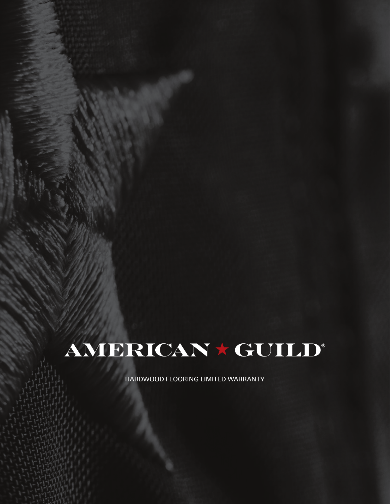# AMERICAN \* GUILD®

HARDWOOD FLOORING LIMITED WARRANTY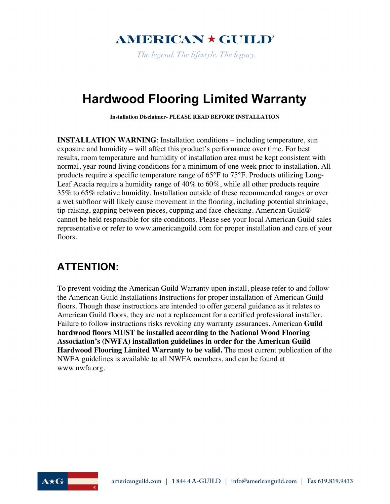# **AMERICAN \* GUILD°**

The legend. The lifestyle. The legacy.

# **Hardwood Flooring Limited Warranty**

**Installation Disclaimer- PLEASE READ BEFORE INSTALLATION**

**INSTALLATION WARNING**: Installation conditions – including temperature, sun exposure and humidity – will affect this product's performance over time. For best results, room temperature and humidity of installation area must be kept consistent with normal, year-round living conditions for a minimum of one week prior to installation. All products require a specific temperature range of 65°F to 75°F. Products utilizing Long-Leaf Acacia require a humidity range of 40% to 60%, while all other products require 35% to 65% relative humidity. Installation outside of these recommended ranges or over a wet subfloor will likely cause movement in the flooring, including potential shrinkage, tip-raising, gapping between pieces, cupping and face-checking. American Guild® cannot be held responsible for site conditions. Please see your local American Guild sales representative or refer to www.americanguild.com for proper installation and care of your floors.

### **ATTENTION:**

To prevent voiding the American Guild Warranty upon install, please refer to and follow the American Guild Installations Instructions for proper installation of American Guild floors. Though these instructions are intended to offer general guidance as it relates to American Guild floors, they are not a replacement for a certified professional installer. Failure to follow instructions risks revoking any warranty assurances. American **Guild hardwood floors MUST be installed according to the National Wood Flooring Association's (NWFA) installation guidelines in order for the American Guild Hardwood Flooring Limited Warranty to be valid.** The most current publication of the NWFA guidelines is available to all NWFA members, and can be found at www.nwfa.org.

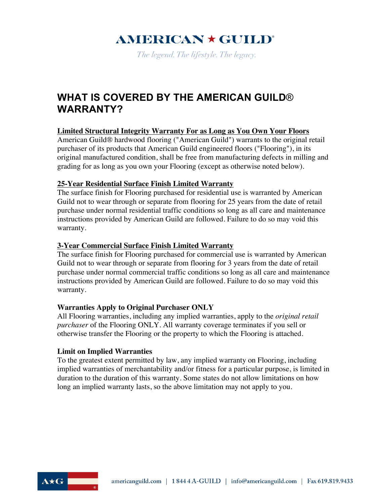# $AMERICAN \star GUILD^{\circ}$

The legend. The lifestyle. The legacy.

### **WHAT IS COVERED BY THE AMERICAN GUILD**® **WARRANTY?**

#### **Limited Structural Integrity Warranty For as Long as You Own Your Floors**

American Guild® hardwood flooring ("American Guild") warrants to the original retail purchaser of its products that American Guild engineered floors ("Flooring"), in its original manufactured condition, shall be free from manufacturing defects in milling and grading for as long as you own your Flooring (except as otherwise noted below).

#### **25-Year Residential Surface Finish Limited Warranty**

The surface finish for Flooring purchased for residential use is warranted by American Guild not to wear through or separate from flooring for 25 years from the date of retail purchase under normal residential traffic conditions so long as all care and maintenance instructions provided by American Guild are followed. Failure to do so may void this warranty.

#### **3-Year Commercial Surface Finish Limited Warranty**

The surface finish for Flooring purchased for commercial use is warranted by American Guild not to wear through or separate from flooring for 3 years from the date of retail purchase under normal commercial traffic conditions so long as all care and maintenance instructions provided by American Guild are followed. Failure to do so may void this warranty.

#### **Warranties Apply to Original Purchaser ONLY**

All Flooring warranties, including any implied warranties, apply to the *original retail purchaser* of the Flooring ONLY. All warranty coverage terminates if you sell or otherwise transfer the Flooring or the property to which the Flooring is attached.

#### **Limit on Implied Warranties**

To the greatest extent permitted by law, any implied warranty on Flooring, including implied warranties of merchantability and/or fitness for a particular purpose, is limited in duration to the duration of this warranty. Some states do not allow limitations on how long an implied warranty lasts, so the above limitation may not apply to you.

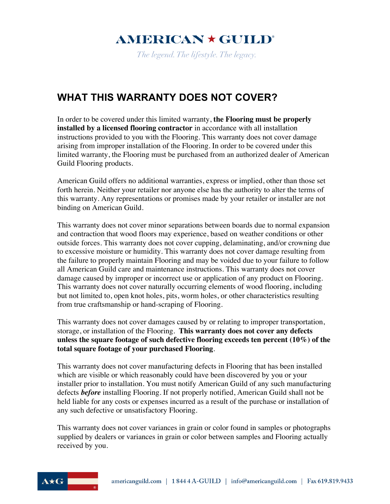# **AMERICAN \* GUILD®**

The legend. The lifestyle. The legacy.

### **WHAT THIS WARRANTY DOES NOT COVER?**

In order to be covered under this limited warranty, **the Flooring must be properly installed by a licensed flooring contractor** in accordance with all installation instructions provided to you with the Flooring. This warranty does not cover damage arising from improper installation of the Flooring. In order to be covered under this limited warranty, the Flooring must be purchased from an authorized dealer of American Guild Flooring products.

American Guild offers no additional warranties, express or implied, other than those set forth herein. Neither your retailer nor anyone else has the authority to alter the terms of this warranty. Any representations or promises made by your retailer or installer are not binding on American Guild.

This warranty does not cover minor separations between boards due to normal expansion and contraction that wood floors may experience, based on weather conditions or other outside forces. This warranty does not cover cupping, delaminating, and/or crowning due to excessive moisture or humidity. This warranty does not cover damage resulting from the failure to properly maintain Flooring and may be voided due to your failure to follow all American Guild care and maintenance instructions. This warranty does not cover damage caused by improper or incorrect use or application of any product on Flooring. This warranty does not cover naturally occurring elements of wood flooring, including but not limited to, open knot holes, pits, worm holes, or other characteristics resulting from true craftsmanship or hand-scraping of Flooring.

This warranty does not cover damages caused by or relating to improper transportation, storage, or installation of the Flooring. **This warranty does not cover any defects unless the square footage of such defective flooring exceeds ten percent (10%) of the total square footage of your purchased Flooring**.

This warranty does not cover manufacturing defects in Flooring that has been installed which are visible or which reasonably could have been discovered by you or your installer prior to installation. You must notify American Guild of any such manufacturing defects *before* installing Flooring. If not properly notified, American Guild shall not be held liable for any costs or expenses incurred as a result of the purchase or installation of any such defective or unsatisfactory Flooring.

This warranty does not cover variances in grain or color found in samples or photographs supplied by dealers or variances in grain or color between samples and Flooring actually received by you.

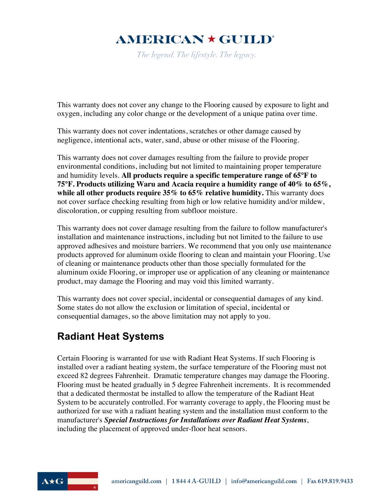# $AMERICAN \star GUILD^{\circ}$

The legend. The lifestyle. The legacy.

This warranty does not cover any change to the Flooring caused by exposure to light and oxygen, including any color change or the development of a unique patina over time.

This warranty does not cover indentations, scratches or other damage caused by negligence, intentional acts, water, sand, abuse or other misuse of the Flooring.

This warranty does not cover damages resulting from the failure to provide proper environmental conditions, including but not limited to maintaining proper temperature and humidity levels. **All products require a specific temperature range of 65°F to 75°F. Products utilizing Waru and Acacia require a humidity range of 40% to 65%, while all other products require 35% to 65% relative humidity.** This warranty does not cover surface checking resulting from high or low relative humidity and/or mildew, discoloration, or cupping resulting from subfloor moisture.

This warranty does not cover damage resulting from the failure to follow manufacturer's installation and maintenance instructions, including but not limited to the failure to use approved adhesives and moisture barriers. We recommend that you only use maintenance products approved for aluminum oxide flooring to clean and maintain your Flooring. Use of cleaning or maintenance products other than those specially formulated for the aluminum oxide Flooring, or improper use or application of any cleaning or maintenance product, may damage the Flooring and may void this limited warranty.

This warranty does not cover special, incidental or consequential damages of any kind. Some states do not allow the exclusion or limitation of special, incidental or consequential damages, so the above limitation may not apply to you.

## **Radiant Heat Systems**

Certain Flooring is warranted for use with Radiant Heat Systems. If such Flooring is installed over a radiant heating system, the surface temperature of the Flooring must not exceed 82 degrees Fahrenheit. Dramatic temperature changes may damage the Flooring. Flooring must be heated gradually in 5 degree Fahrenheit increments. It is recommended that a dedicated thermostat be installed to allow the temperature of the Radiant Heat System to be accurately controlled. For warranty coverage to apply, the Flooring must be authorized for use with a radiant heating system and the installation must conform to the manufacturer's *Special Instructions for Installations over Radiant Heat Systems*, including the placement of approved under-floor heat sensors.

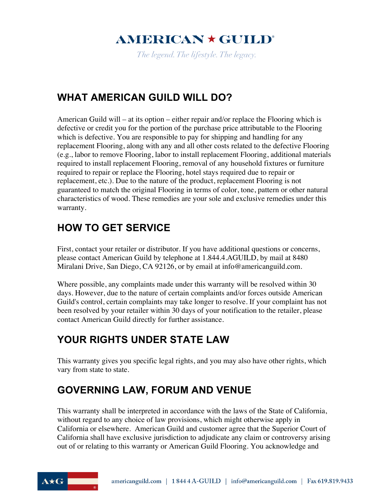# $AMERICAN \star GUILD^{\circ}$

The legend. The lifestyle. The legacy.

### **WHAT AMERICAN GUILD WILL DO?**

American Guild will – at its option – either repair and/or replace the Flooring which is defective or credit you for the portion of the purchase price attributable to the Flooring which is defective. You are responsible to pay for shipping and handling for any replacement Flooring, along with any and all other costs related to the defective Flooring (e.g., labor to remove Flooring, labor to install replacement Flooring, additional materials required to install replacement Flooring, removal of any household fixtures or furniture required to repair or replace the Flooring, hotel stays required due to repair or replacement, etc.). Due to the nature of the product, replacement Flooring is not guaranteed to match the original Flooring in terms of color, tone, pattern or other natural characteristics of wood. These remedies are your sole and exclusive remedies under this warranty.

# **HOW TO GET SERVICE**

First, contact your retailer or distributor. If you have additional questions or concerns, please contact American Guild by telephone at 1.844.4.AGUILD, by mail at 8480 Miralani Drive, San Diego, CA 92126, or by email at info@americanguild.com.

Where possible, any complaints made under this warranty will be resolved within 30 days. However, due to the nature of certain complaints and/or forces outside American Guild's control, certain complaints may take longer to resolve. If your complaint has not been resolved by your retailer within 30 days of your notification to the retailer, please contact American Guild directly for further assistance.

## **YOUR RIGHTS UNDER STATE LAW**

This warranty gives you specific legal rights, and you may also have other rights, which vary from state to state.

## **GOVERNING LAW, FORUM AND VENUE**

This warranty shall be interpreted in accordance with the laws of the State of California, without regard to any choice of law provisions, which might otherwise apply in California or elsewhere. American Guild and customer agree that the Superior Court of California shall have exclusive jurisdiction to adjudicate any claim or controversy arising out of or relating to this warranty or American Guild Flooring. You acknowledge and